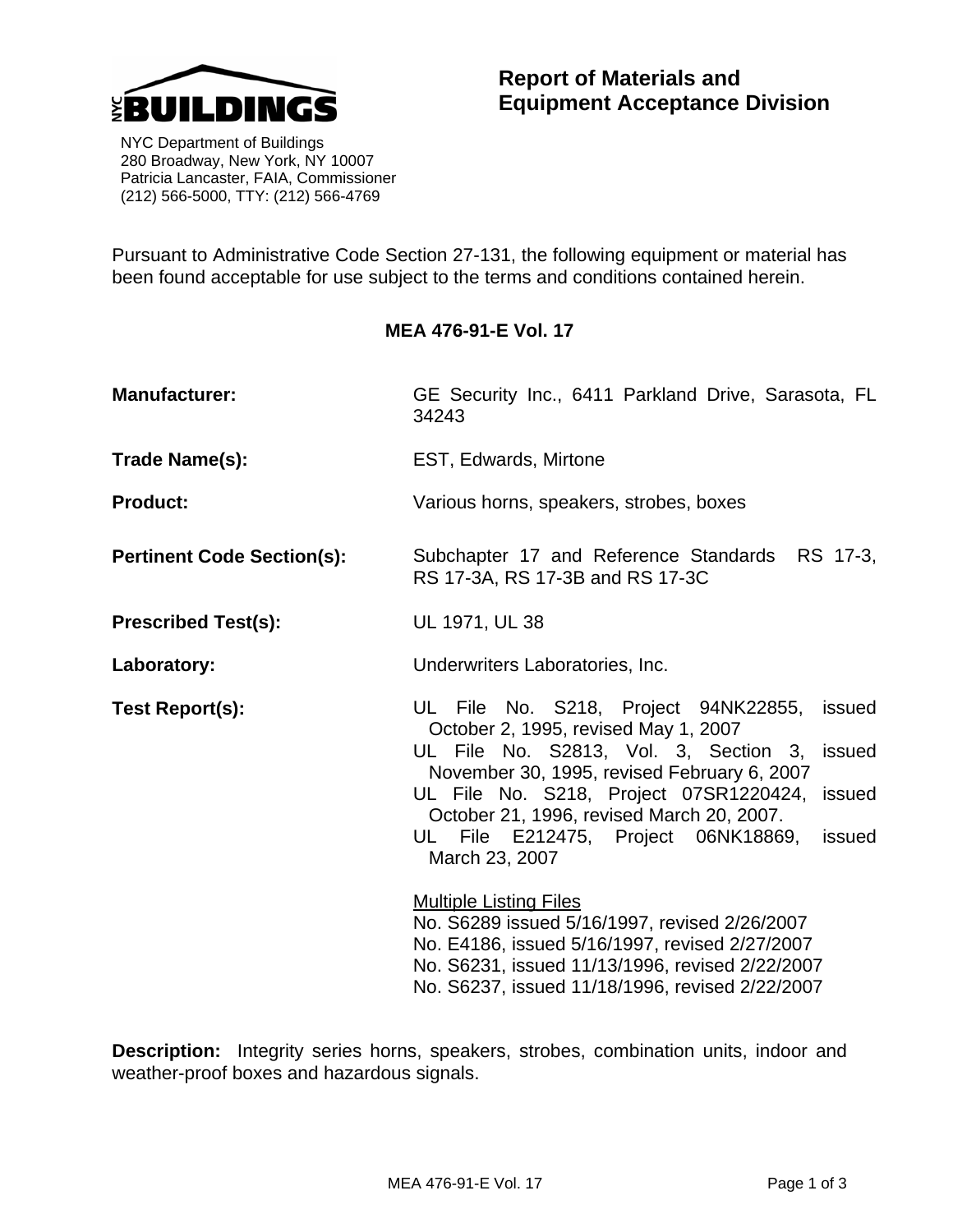

 NYC Department of Buildings 280 Broadway, New York, NY 10007 Patricia Lancaster, FAIA, Commissioner (212) 566-5000, TTY: (212) 566-4769

Pursuant to Administrative Code Section 27-131, the following equipment or material has been found acceptable for use subject to the terms and conditions contained herein.

## **MEA 476-91-E Vol. 17**

| <b>Manufacturer:</b>              | GE Security Inc., 6411 Parkland Drive, Sarasota, FL<br>34243                                                                                                                                                                                                                                                                                               |
|-----------------------------------|------------------------------------------------------------------------------------------------------------------------------------------------------------------------------------------------------------------------------------------------------------------------------------------------------------------------------------------------------------|
| Trade Name(s):                    | EST, Edwards, Mirtone                                                                                                                                                                                                                                                                                                                                      |
| <b>Product:</b>                   | Various horns, speakers, strobes, boxes                                                                                                                                                                                                                                                                                                                    |
| <b>Pertinent Code Section(s):</b> | Subchapter 17 and Reference Standards RS 17-3,<br>RS 17-3A, RS 17-3B and RS 17-3C                                                                                                                                                                                                                                                                          |
| <b>Prescribed Test(s):</b>        | UL 1971, UL 38                                                                                                                                                                                                                                                                                                                                             |
| Laboratory:                       | Underwriters Laboratories, Inc.                                                                                                                                                                                                                                                                                                                            |
| Test Report(s):                   | UL File No. S218, Project 94NK22855,<br>issued<br>October 2, 1995, revised May 1, 2007<br>UL File No. S2813, Vol. 3, Section 3, issued<br>November 30, 1995, revised February 6, 2007<br>UL File No. S218, Project 07SR1220424, issued<br>October 21, 1996, revised March 20, 2007.<br>File E212475, Project 06NK18869,<br>issued<br>ULI<br>March 23, 2007 |
|                                   | <b>Multiple Listing Files</b><br>No. S6289 issued 5/16/1997, revised 2/26/2007<br>No. E4186, issued 5/16/1997, revised 2/27/2007<br>No. S6231, issued 11/13/1996, revised 2/22/2007<br>No. S6237, issued 11/18/1996, revised 2/22/2007                                                                                                                     |

**Description:** Integrity series horns, speakers, strobes, combination units, indoor and weather-proof boxes and hazardous signals.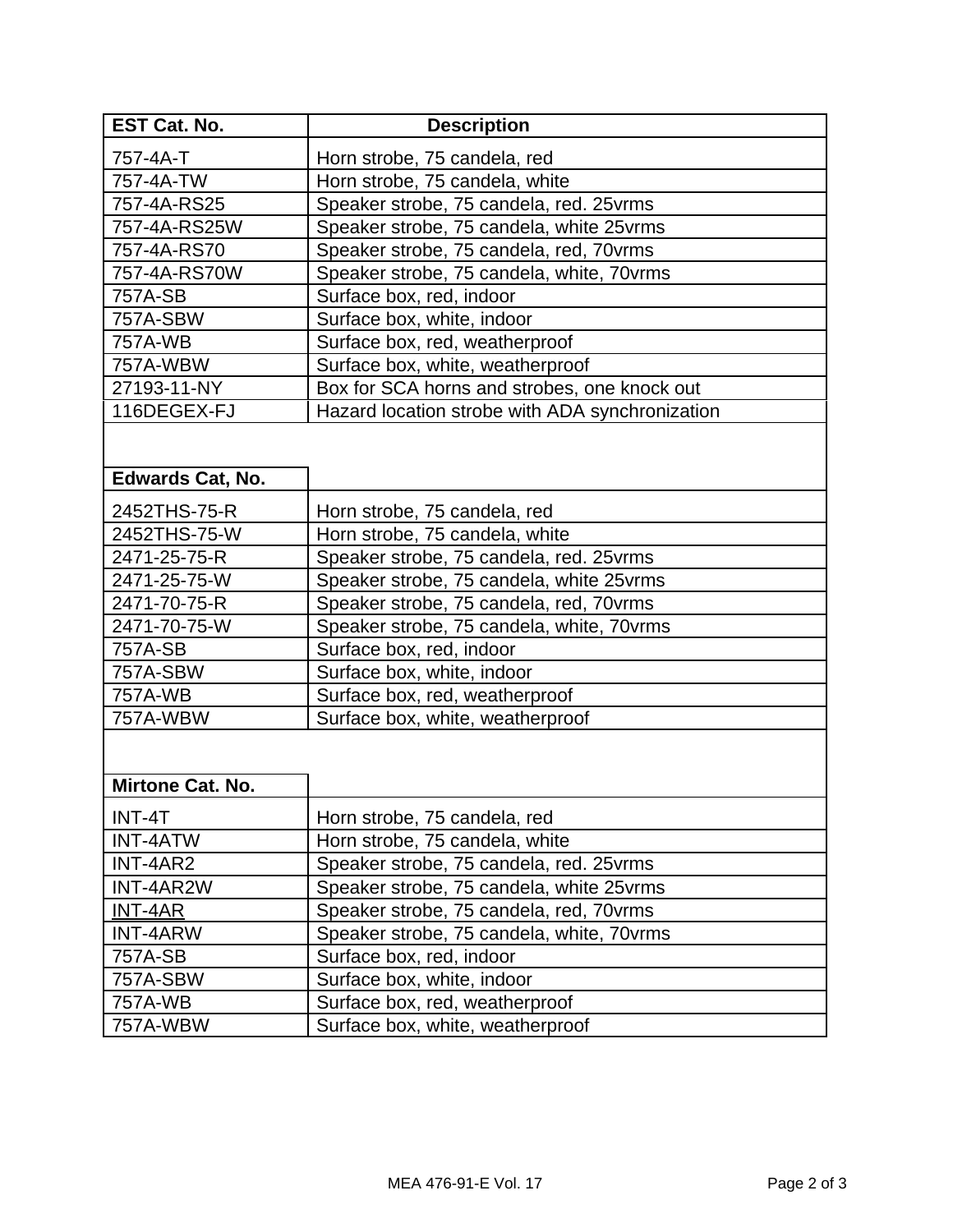| <b>EST Cat. No.</b>     | <b>Description</b>                              |
|-------------------------|-------------------------------------------------|
| 757-4A-T                | Horn strobe, 75 candela, red                    |
| 757-4A-TW               | Horn strobe, 75 candela, white                  |
| 757-4A-RS25             | Speaker strobe, 75 candela, red. 25 vrms        |
| 757-4A-RS25W            | Speaker strobe, 75 candela, white 25 vrms       |
| 757-4A-RS70             | Speaker strobe, 75 candela, red, 70 vrms        |
| 757-4A-RS70W            | Speaker strobe, 75 candela, white, 70 vrms      |
| 757A-SB                 | Surface box, red, indoor                        |
| 757A-SBW                | Surface box, white, indoor                      |
| 757A-WB                 | Surface box, red, weatherproof                  |
| 757A-WBW                | Surface box, white, weatherproof                |
| 27193-11-NY             | Box for SCA horns and strobes, one knock out    |
| 116DEGEX-FJ             | Hazard location strobe with ADA synchronization |
|                         |                                                 |
|                         |                                                 |
| <b>Edwards Cat, No.</b> |                                                 |
| 2452THS-75-R            | Horn strobe, 75 candela, red                    |
| 2452THS-75-W            | Horn strobe, 75 candela, white                  |
| 2471-25-75-R            | Speaker strobe, 75 candela, red. 25vrms         |
| 2471-25-75-W            | Speaker strobe, 75 candela, white 25 vrms       |
| 2471-70-75-R            | Speaker strobe, 75 candela, red, 70 vrms        |
| 2471-70-75-W            | Speaker strobe, 75 candela, white, 70 vrms      |
| 757A-SB                 | Surface box, red, indoor                        |
| <b>757A-SBW</b>         | Surface box, white, indoor                      |
| 757A-WB                 | Surface box, red, weatherproof                  |
| 757A-WBW                | Surface box, white, weatherproof                |
|                         |                                                 |
|                         |                                                 |
| Mirtone Cat. No.        |                                                 |
| INT-4T                  | Horn strobe, 75 candela, red                    |
| <b>INT-4ATW</b>         | Horn strobe, 75 candela, white                  |
| INT-4AR2                | Speaker strobe, 75 candela, red. 25 vrms        |
| INT-4AR2W               | Speaker strobe, 75 candela, white 25 vrms       |
| INT-4AR                 | Speaker strobe, 75 candela, red, 70 vrms        |
| <b>INT-4ARW</b>         | Speaker strobe, 75 candela, white, 70vrms       |
| 757A-SB                 | Surface box, red, indoor                        |
| 757A-SBW                | Surface box, white, indoor                      |
| 757A-WB                 | Surface box, red, weatherproof                  |
| 757A-WBW                | Surface box, white, weatherproof                |